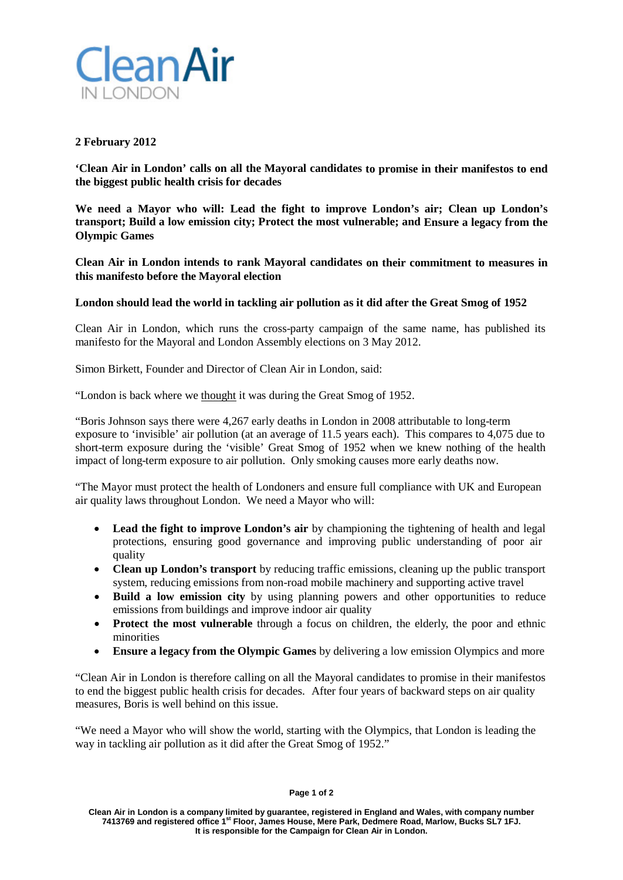

## **2 February 2012**

**'Clean Air in London' calls on all the Mayoral candidates to promise in their manifestos to end the biggest public health crisis for decades**

**We need a Mayor who will: Lead the fight to improve London's air; Clean up London's transport; Build a low emission city; Protect the most vulnerable; and Ensure a legacy from the Olympic Games**

**Clean Air in London intends to rank Mayoral candidates on their commitment to measures in this manifesto before the Mayoral election**

## **London should lead the world in tackling air pollution as it did after the Great Smog of 1952**

Clean Air in London, which runs the cross-party campaign of the same name, has published its manifesto for the Mayoral and London Assembly elections on 3 May 2012.

Simon Birkett, Founder and Director of Clean Air in London, said:

"London is back where we thought it was during the Great Smog of 1952.

"Boris Johnson says there were 4,267 early deaths in London in 2008 attributable to long-term exposure to 'invisible' air pollution (at an average of 11.5 years each). This compares to 4,075 due to short-term exposure during the 'visible' Great Smog of 1952 when we knew nothing of the health impact of long-term exposure to air pollution. Only smoking causes more early deaths now.

"The Mayor must protect the health of Londoners and ensure full compliance with UK and European air quality laws throughout London. We need a Mayor who will:

- **Lead the fight to improve London's air** by championing the tightening of health and legal protections, ensuring good governance and improving public understanding of poor air quality
- **Clean up London's transport** by reducing traffic emissions, cleaning up the public transport system, reducing emissions from non-road mobile machinery and supporting active travel
- **Build a low emission city** by using planning powers and other opportunities to reduce emissions from buildings and improve indoor air quality
- **Protect the most vulnerable** through a focus on children, the elderly, the poor and ethnic minorities
- **Ensure a legacy from the Olympic Games** by delivering a low emission Olympics and more

"Clean Air in London is therefore calling on all the Mayoral candidates to promise in their manifestos to end the biggest public health crisis for decades. After four years of backward steps on air quality measures, Boris is well behind on this issue.

"We need a Mayor who will show the world, starting with the Olympics, that London is leading the way in tackling air pollution as it did after the Great Smog of 1952."

## **Page 1 of 2**

**Clean Air in London is a company limited by guarantee, registered in England and Wales, with company number 7413769 and registered office 1st Floor, James House, Mere Park, Dedmere Road, Marlow, Bucks SL7 1FJ. It is responsible for the Campaign for Clean Air in London.**